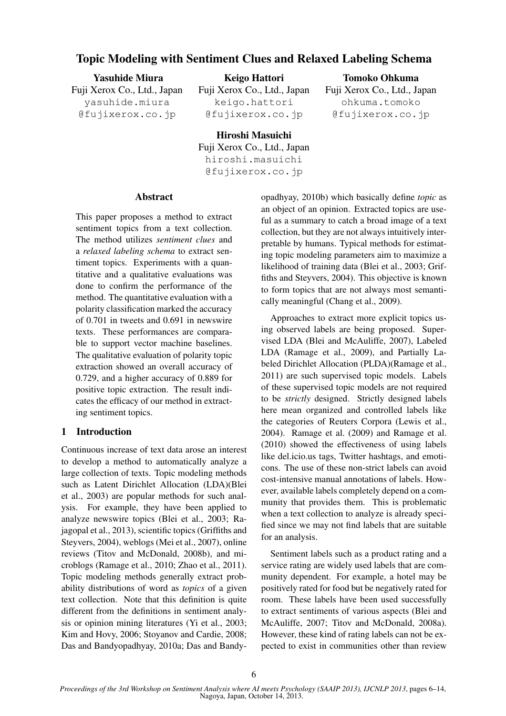# Topic Modeling with Sentiment Clues and Relaxed Labeling Schema

Yasuhide Miura Fuji Xerox Co., Ltd., Japan yasuhide.miura @fujixerox.co.jp

Keigo Hattori Fuji Xerox Co., Ltd., Japan keigo.hattori

@fujixerox.co.jp

## Tomoko Ohkuma

Fuji Xerox Co., Ltd., Japan ohkuma.tomoko @fujixerox.co.jp

Hiroshi Masuichi Fuji Xerox Co., Ltd., Japan hiroshi.masuichi @fujixerox.co.jp

## Abstract

This paper proposes a method to extract sentiment topics from a text collection. The method utilizes *sentiment clues* and a *relaxed labeling schema* to extract sentiment topics. Experiments with a quantitative and a qualitative evaluations was done to confirm the performance of the method. The quantitative evaluation with a polarity classification marked the accuracy of 0.701 in tweets and 0.691 in newswire texts. These performances are comparable to support vector machine baselines. The qualitative evaluation of polarity topic extraction showed an overall accuracy of 0.729, and a higher accuracy of 0.889 for positive topic extraction. The result indicates the efficacy of our method in extracting sentiment topics.

## 1 Introduction

Continuous increase of text data arose an interest to develop a method to automatically analyze a large collection of texts. Topic modeling methods such as Latent Dirichlet Allocation (LDA)(Blei et al., 2003) are popular methods for such analysis. For example, they have been applied to analyze newswire topics (Blei et al., 2003; Rajagopal et al., 2013), scientific topics (Griffiths and Steyvers, 2004), weblogs (Mei et al., 2007), online reviews (Titov and McDonald, 2008b), and microblogs (Ramage et al., 2010; Zhao et al., 2011). Topic modeling methods generally extract probability distributions of word as *topics* of a given text collection. Note that this definition is quite different from the definitions in sentiment analysis or opinion mining literatures (Yi et al., 2003; Kim and Hovy, 2006; Stoyanov and Cardie, 2008; Das and Bandyopadhyay, 2010a; Das and Bandyopadhyay, 2010b) which basically define *topic* as an object of an opinion. Extracted topics are useful as a summary to catch a broad image of a text collection, but they are not always intuitively interpretable by humans. Typical methods for estimating topic modeling parameters aim to maximize a likelihood of training data (Blei et al., 2003; Griffiths and Steyvers, 2004). This objective is known to form topics that are not always most semantically meaningful (Chang et al., 2009).

Approaches to extract more explicit topics using observed labels are being proposed. Supervised LDA (Blei and McAuliffe, 2007), Labeled LDA (Ramage et al., 2009), and Partially Labeled Dirichlet Allocation (PLDA)(Ramage et al., 2011) are such supervised topic models. Labels of these supervised topic models are not required to be *strictly* designed. Strictly designed labels here mean organized and controlled labels like the categories of Reuters Corpora (Lewis et al., 2004). Ramage et al. (2009) and Ramage et al. (2010) showed the effectiveness of using labels like del.icio.us tags, Twitter hashtags, and emoticons. The use of these non-strict labels can avoid cost-intensive manual annotations of labels. However, available labels completely depend on a community that provides them. This is problematic when a text collection to analyze is already specified since we may not find labels that are suitable for an analysis.

Sentiment labels such as a product rating and a service rating are widely used labels that are community dependent. For example, a hotel may be positively rated for food but be negatively rated for room. These labels have been used successfully to extract sentiments of various aspects (Blei and McAuliffe, 2007; Titov and McDonald, 2008a). However, these kind of rating labels can not be expected to exist in communities other than review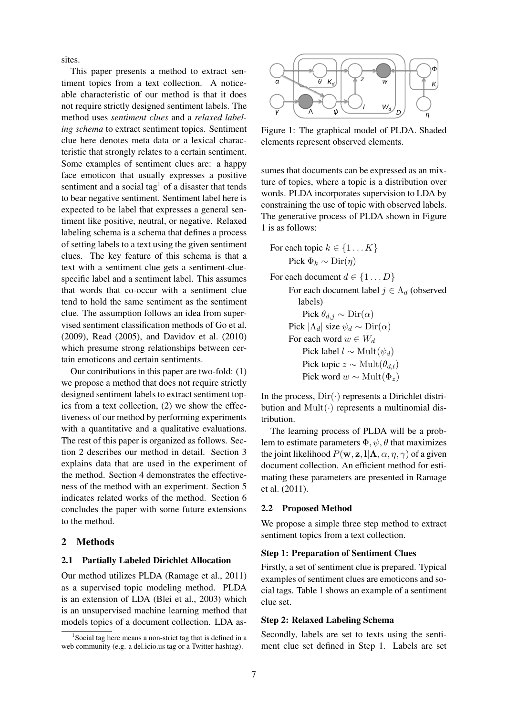sites.

This paper presents a method to extract sentiment topics from a text collection. A noticeable characteristic of our method is that it does not require strictly designed sentiment labels. The method uses *sentiment clues* and a *relaxed labeling schema* to extract sentiment topics. Sentiment clue here denotes meta data or a lexical characteristic that strongly relates to a certain sentiment. Some examples of sentiment clues are: a happy face emoticon that usually expresses a positive sentiment and a social tag<sup>1</sup> of a disaster that tends to bear negative sentiment. Sentiment label here is expected to be label that expresses a general sentiment like positive, neutral, or negative. Relaxed labeling schema is a schema that defines a process of setting labels to a text using the given sentiment clues. The key feature of this schema is that a text with a sentiment clue gets a sentiment-cluespecific label and a sentiment label. This assumes that words that co-occur with a sentiment clue tend to hold the same sentiment as the sentiment clue. The assumption follows an idea from supervised sentiment classification methods of Go et al. (2009), Read (2005), and Davidov et al. (2010) which presume strong relationships between certain emoticons and certain sentiments.

Our contributions in this paper are two-fold: (1) we propose a method that does not require strictly designed sentiment labels to extract sentiment topics from a text collection, (2) we show the effectiveness of our method by performing experiments with a quantitative and a qualitative evaluations. The rest of this paper is organized as follows. Section 2 describes our method in detail. Section 3 explains data that are used in the experiment of the method. Section 4 demonstrates the effectiveness of the method with an experiment. Section 5 indicates related works of the method. Section 6 concludes the paper with some future extensions to the method.

## 2 Methods

#### 2.1 Partially Labeled Dirichlet Allocation

Our method utilizes PLDA (Ramage et al., 2011) as a supervised topic modeling method. PLDA is an extension of LDA (Blei et al., 2003) which is an unsupervised machine learning method that models topics of a document collection. LDA as-



Figure 1: The graphical model of PLDA. Shaded elements represent observed elements.

sumes that documents can be expressed as an mixture of topics, where a topic is a distribution over words. PLDA incorporates supervision to LDA by constraining the use of topic with observed labels. The generative process of PLDA shown in Figure 1 is as follows:

For each topic 
$$
k \in \{1...K\}
$$
  
Pick  $\Phi_k \sim \text{Dir}(\eta)$ 

For each document  $d \in \{1...D\}$ For each document label  $j \in \Lambda_d$  (observed labels) Pick  $\theta_{d,j} \sim \text{Dir}(\alpha)$ Pick  $|\Lambda_d|$  size  $\psi_d \sim \text{Dir}(\alpha)$ For each word  $w \in W_d$ Pick label  $l \sim \text{Mult}(\psi_d)$ Pick topic  $z \sim \text{Mult}(\theta_{d,l})$ Pick word  $w \sim \text{Mult}(\Phi_z)$ 

In the process,  $Dir(\cdot)$  represents a Dirichlet distribution and Mult(*·*) represents a multinomial distribution.

The learning process of PLDA will be a problem to estimate parameters  $\Phi$ ,  $\psi$ ,  $\theta$  that maximizes the joint likelihood  $P(\mathbf{w}, \mathbf{z}, \mathbf{l} | \mathbf{\Lambda}, \alpha, \eta, \gamma)$  of a given document collection. An efficient method for estimating these parameters are presented in Ramage et al. (2011).

## 2.2 Proposed Method

We propose a simple three step method to extract sentiment topics from a text collection.

## Step 1: Preparation of Sentiment Clues

Firstly, a set of sentiment clue is prepared. Typical examples of sentiment clues are emoticons and social tags. Table 1 shows an example of a sentiment clue set.

## Step 2: Relaxed Labeling Schema

Secondly, labels are set to texts using the sentiment clue set defined in Step 1. Labels are set

<sup>&</sup>lt;sup>1</sup>Social tag here means a non-strict tag that is defined in a web community (e.g. a del.icio.us tag or a Twitter hashtag).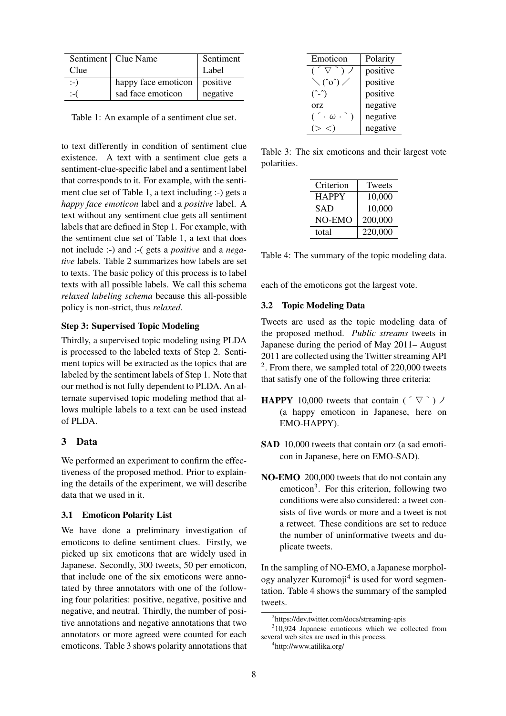|       | Sentiment   Clue Name | Sentiment |
|-------|-----------------------|-----------|
| Clue  |                       | Label     |
| $:-)$ | happy face emoticon   | positive  |
| :−(   | sad face emoticon     | negative  |

Table 1: An example of a sentiment clue set.

to text differently in condition of sentiment clue existence. A text with a sentiment clue gets a sentiment-clue-specific label and a sentiment label that corresponds to it. For example, with the sentiment clue set of Table 1, a text including :-) gets a *happy face emoticon* label and a *positive* label. A text without any sentiment clue gets all sentiment labels that are defined in Step 1. For example, with the sentiment clue set of Table 1, a text that does not include :-) and :-( gets a *positive* and a *negative* labels. Table 2 summarizes how labels are set to texts. The basic policy of this process is to label texts with all possible labels. We call this schema *relaxed labeling schema* because this all-possible policy is non-strict, thus *relaxed*.

## Step 3: Supervised Topic Modeling

Thirdly, a supervised topic modeling using PLDA is processed to the labeled texts of Step 2. Sentiment topics will be extracted as the topics that are labeled by the sentiment labels of Step 1. Note that our method is not fully dependent to PLDA. An alternate supervised topic modeling method that allows multiple labels to a text can be used instead of PLDA.

## 3 Data

We performed an experiment to confirm the effectiveness of the proposed method. Prior to explaining the details of the experiment, we will describe data that we used in it.

#### 3.1 Emoticon Polarity List

We have done a preliminary investigation of emoticons to define sentiment clues. Firstly, we picked up six emoticons that are widely used in Japanese. Secondly, 300 tweets, 50 per emoticon, that include one of the six emoticons were annotated by three annotators with one of the following four polarities: positive, negative, positive and negative, and neutral. Thirdly, the number of positive annotations and negative annotations that two annotators or more agreed were counted for each emoticons. Table 3 shows polarity annotations that

| Emoticon                    | Polarity |
|-----------------------------|----------|
|                             | positive |
| $\setminus$ (^o^) $\angle$  | positive |
| $(\hat{C} - \hat{C})$       | positive |
| Orz                         | negative |
| $(\ \cdot \ \omega \ \cdot$ | negative |
|                             | negative |

Table 3: The six emoticons and their largest vote polarities.

| Criterion    | Tweets  |
|--------------|---------|
| <b>HAPPY</b> | 10,000  |
| <b>SAD</b>   | 10,000  |
| NO-EMO       | 200,000 |
| total        | 220,000 |

| Table 4: The summary of the topic modeling data. |  |  |
|--------------------------------------------------|--|--|
|                                                  |  |  |

each of the emoticons got the largest vote.

#### 3.2 Topic Modeling Data

Tweets are used as the topic modeling data of the proposed method. *Public streams* tweets in Japanese during the period of May 2011– August 2011 are collected using the Twitter streaming API  $2$ . From there, we sampled total of 220,000 tweets that satisfy one of the following three criteria:

- **HAPPY** 10,000 tweets that contain ( $\sqrt{ }$ ) (a happy emoticon in Japanese, here on EMO-HAPPY).
- SAD 10,000 tweets that contain orz (a sad emoticon in Japanese, here on EMO-SAD).
- NO-EMO 200,000 tweets that do not contain any emoticon<sup>3</sup>. For this criterion, following two conditions were also considered: a tweet consists of five words or more and a tweet is not a retweet. These conditions are set to reduce the number of uninformative tweets and duplicate tweets.

In the sampling of NO-EMO, a Japanese morphology analyzer Kuromoji<sup>4</sup> is used for word segmentation. Table 4 shows the summary of the sampled tweets.

<sup>2</sup> https://dev.twitter.com/docs/streaming-apis

<sup>3</sup> 10,924 Japanese emoticons which we collected from several web sites are used in this process.

<sup>4</sup> http://www.atilika.org/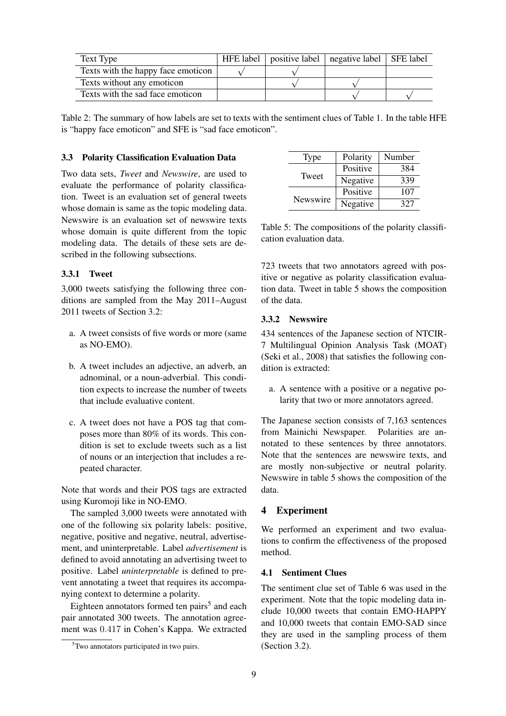| Text Type                          | HFE label $ $ | $\vert$ positive label $\vert$ negative label $\vert$ SFE label |  |
|------------------------------------|---------------|-----------------------------------------------------------------|--|
| Texts with the happy face emoticon |               |                                                                 |  |
| Texts without any emoticon         |               |                                                                 |  |
| Texts with the sad face emoticon   |               |                                                                 |  |

Table 2: The summary of how labels are set to texts with the sentiment clues of Table 1. In the table HFE is "happy face emoticon" and SFE is "sad face emoticon".

#### 3.3 Polarity Classification Evaluation Data

Two data sets, *Tweet* and *Newswire*, are used to evaluate the performance of polarity classification. Tweet is an evaluation set of general tweets whose domain is same as the topic modeling data. Newswire is an evaluation set of newswire texts whose domain is quite different from the topic modeling data. The details of these sets are described in the following subsections.

## 3.3.1 Tweet

3,000 tweets satisfying the following three conditions are sampled from the May 2011–August 2011 tweets of Section 3.2:

- a. A tweet consists of five words or more (same as NO-EMO).
- b. A tweet includes an adjective, an adverb, an adnominal, or a noun-adverbial. This condition expects to increase the number of tweets that include evaluative content.
- c. A tweet does not have a POS tag that composes more than 80% of its words. This condition is set to exclude tweets such as a list of nouns or an interjection that includes a repeated character.

Note that words and their POS tags are extracted using Kuromoji like in NO-EMO.

The sampled 3,000 tweets were annotated with one of the following six polarity labels: positive, negative, positive and negative, neutral, advertisement, and uninterpretable. Label *advertisement* is defined to avoid annotating an advertising tweet to positive. Label *uninterpretable* is defined to prevent annotating a tweet that requires its accompanying context to determine a polarity.

Eighteen annotators formed ten pairs<sup>5</sup> and each pair annotated 300 tweets. The annotation agreement was 0*.*417 in Cohen's Kappa. We extracted

| Type     | Polarity | Number |
|----------|----------|--------|
|          | Positive | 384    |
| Tweet    | Negative | 339    |
|          | Positive | 107    |
| Newswire | Negative | 327    |

Table 5: The compositions of the polarity classification evaluation data.

723 tweets that two annotators agreed with positive or negative as polarity classification evaluation data. Tweet in table 5 shows the composition of the data.

#### 3.3.2 Newswire

434 sentences of the Japanese section of NTCIR-7 Multilingual Opinion Analysis Task (MOAT) (Seki et al., 2008) that satisfies the following condition is extracted:

a. A sentence with a positive or a negative polarity that two or more annotators agreed.

The Japanese section consists of 7,163 sentences from Mainichi Newspaper. Polarities are annotated to these sentences by three annotators. Note that the sentences are newswire texts, and are mostly non-subjective or neutral polarity. Newswire in table 5 shows the composition of the data.

#### 4 Experiment

We performed an experiment and two evaluations to confirm the effectiveness of the proposed method.

## 4.1 Sentiment Clues

The sentiment clue set of Table 6 was used in the experiment. Note that the topic modeling data include 10,000 tweets that contain EMO-HAPPY and 10,000 tweets that contain EMO-SAD since they are used in the sampling process of them (Section 3.2).

<sup>5</sup>Two annotators participated in two pairs.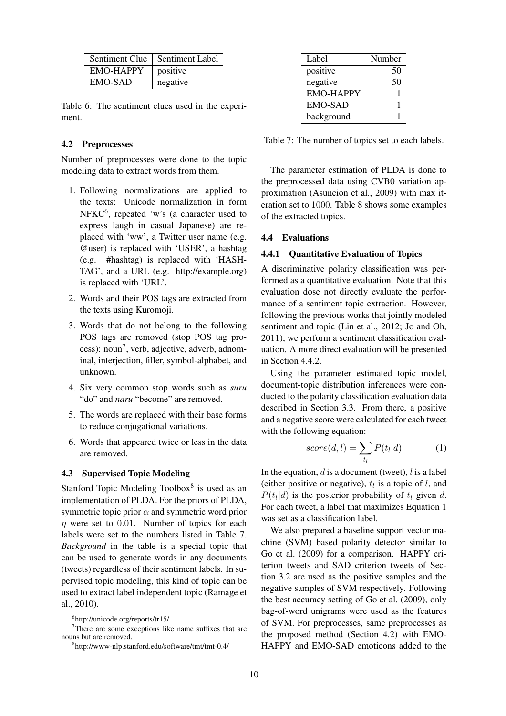|                  | Sentiment Clue   Sentiment Label |
|------------------|----------------------------------|
| <b>EMO-HAPPY</b> | positive                         |
| EMO-SAD          | negative                         |

Table 6: The sentiment clues used in the experiment.

## 4.2 Preprocesses

Number of preprocesses were done to the topic modeling data to extract words from them.

- 1. Following normalizations are applied to the texts: Unicode normalization in form  $NFKC<sup>6</sup>$ , repeated 'w's (a character used to express laugh in casual Japanese) are replaced with 'ww', a Twitter user name (e.g. @user) is replaced with 'USER', a hashtag (e.g. #hashtag) is replaced with 'HASH-TAG', and a URL (e.g. http://example.org) is replaced with 'URL'.
- 2. Words and their POS tags are extracted from the texts using Kuromoji.
- 3. Words that do not belong to the following POS tags are removed (stop POS tag process): noun<sup>7</sup>, verb, adjective, adverb, adnominal, interjection, filler, symbol-alphabet, and unknown.
- 4. Six very common stop words such as *suru* "do" and *naru* "become" are removed.
- 5. The words are replaced with their base forms to reduce conjugational variations.
- 6. Words that appeared twice or less in the data are removed.

## 4.3 Supervised Topic Modeling

Stanford Topic Modeling Toolbox<sup>8</sup> is used as an implementation of PLDA. For the priors of PLDA, symmetric topic prior  $\alpha$  and symmetric word prior *η* were set to 0*.*01. Number of topics for each labels were set to the numbers listed in Table 7. *Background* in the table is a special topic that can be used to generate words in any documents (tweets) regardless of their sentiment labels. In supervised topic modeling, this kind of topic can be used to extract label independent topic (Ramage et al., 2010).

| Label            | Number |
|------------------|--------|
| positive         | 50     |
| negative         | 50     |
| <b>EMO-HAPPY</b> |        |
| <b>EMO-SAD</b>   |        |
| background       |        |

Table 7: The number of topics set to each labels.

The parameter estimation of PLDA is done to the preprocessed data using CVB0 variation approximation (Asuncion et al., 2009) with max iteration set to 1000. Table 8 shows some examples of the extracted topics.

## 4.4 Evaluations

#### 4.4.1 Quantitative Evaluation of Topics

A discriminative polarity classification was performed as a quantitative evaluation. Note that this evaluation dose not directly evaluate the performance of a sentiment topic extraction. However, following the previous works that jointly modeled sentiment and topic (Lin et al., 2012; Jo and Oh, 2011), we perform a sentiment classification evaluation. A more direct evaluation will be presented in Section 4.4.2.

Using the parameter estimated topic model, document-topic distribution inferences were conducted to the polarity classification evaluation data described in Section 3.3. From there, a positive and a negative score were calculated for each tweet with the following equation:

$$
score(d, l) = \sum_{t_l} P(t_l|d)
$$
 (1)

In the equation, *d* is a document (tweet), *l* is a label (either positive or negative),  $t_l$  is a topic of *l*, and  $P(t_l|d)$  is the posterior probability of  $t_l$  given  $d$ . For each tweet, a label that maximizes Equation 1 was set as a classification label.

We also prepared a baseline support vector machine (SVM) based polarity detector similar to Go et al. (2009) for a comparison. HAPPY criterion tweets and SAD criterion tweets of Section 3.2 are used as the positive samples and the negative samples of SVM respectively. Following the best accuracy setting of Go et al. (2009), only bag-of-word unigrams were used as the features of SVM. For preprocesses, same preprocesses as the proposed method (Section 4.2) with EMO-HAPPY and EMO-SAD emoticons added to the

<sup>6</sup> http://unicode.org/reports/tr15/

<sup>&</sup>lt;sup>7</sup>There are some exceptions like name suffixes that are nouns but are removed.

<sup>8</sup> http://www-nlp.stanford.edu/software/tmt/tmt-0.4/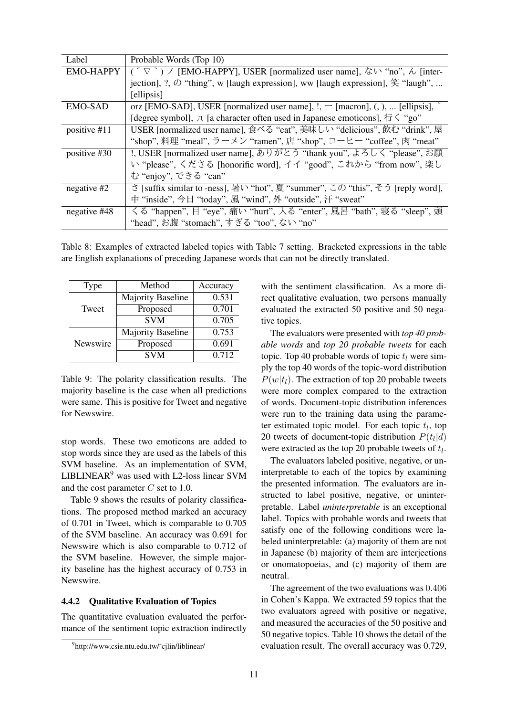| Label            | Probable Words (Top 10)                                                                                                        |
|------------------|--------------------------------------------------------------------------------------------------------------------------------|
| <b>EMO-HAPPY</b> | [EMO-HAPPY], USER [normalized user name], ない "no", ん [inter-                                                                   |
|                  | iection], ?, $\oslash$ "thing", w [laugh expression], ww [laugh expression], $\hat{\mathfrak{X}}$ "laugh",                     |
|                  | [ellipsis]                                                                                                                     |
| <b>EMO-SAD</b>   | orz [EMO-SAD], USER [normalized user name], !, $\neg$ [macron], (, ),  [ellipsis],                                             |
|                  | [degree symbol], $\overline{\mathcal{A}}$ [a character often used in Japanese emoticons], $\overline{\mathcal{B}}$ $\leq$ "go" |
| positive #11     | USER [normalized user name], 食べる "eat", 美味しい "delicious", 飲む "drink", 屋                                                        |
|                  | "shop", 料理 "meal", ラーメン "ramen", 店 "shop", コーヒー "coffee", 肉 "meat"                                                             |
| positive #30     | !, USER [normalized user name], ありがとう "thank you", よろしく "please", お願                                                           |
|                  | い "please", くださる [honorific word], イイ "good", これから "from now", 楽し                                                              |
|                  | む "enjoy", できる "can"                                                                                                           |
| negative #2      | さ [suffix similar to -ness], 暑い "hot", 夏 "summer", この "this", そう [reply word],                                                 |
|                  | 中 "inside", 今日 "today", 風 "wind", 外 "outside", 汗 "sweat"                                                                       |
| negative #48     | くる "happen", 目 "eye", 痛い "hurt", 入る "enter", 風呂 "bath", 寝る "sleep", 頭                                                          |
|                  | "head", お腹 "stomach", すぎる "too", ない "no"                                                                                       |

Table 8: Examples of extracted labeled topics with Table 7 setting. Bracketed expressions in the table are English explanations of preceding Japanese words that can not be directly translated.

| Type     | Method                   | Accuracy |
|----------|--------------------------|----------|
|          | <b>Majority Baseline</b> | 0.531    |
| Tweet    | Proposed                 | 0.701    |
|          | <b>SVM</b>               | 0.705    |
|          | <b>Majority Baseline</b> | 0.753    |
| Newswire | Proposed                 | 0.691    |
|          | <b>SVM</b>               | 0.712    |

Table 9: The polarity classification results. The majority baseline is the case when all predictions were same. This is positive for Tweet and negative for Newswire.

stop words. These two emoticons are added to stop words since they are used as the labels of this SVM baseline. As an implementation of SVM, LIBLINEAR<sup>9</sup> was used with L2-loss linear SVM and the cost parameter *C* set to 1.0.

Table 9 shows the results of polarity classifications. The proposed method marked an accuracy of 0.701 in Tweet, which is comparable to 0.705 of the SVM baseline. An accuracy was 0.691 for Newswire which is also comparable to 0.712 of the SVM baseline. However, the simple majority baseline has the highest accuracy of 0.753 in Newswire.

#### 4.4.2 Qualitative Evaluation of Topics

The quantitative evaluation evaluated the performance of the sentiment topic extraction indirectly with the sentiment classification. As a more direct qualitative evaluation, two persons manually evaluated the extracted 50 positive and 50 negative topics.

The evaluators were presented with *top 40 probable words* and *top 20 probable tweets* for each topic. Top 40 probable words of topic  $t_l$  were simply the top 40 words of the topic-word distribution  $P(w|t)$ . The extraction of top 20 probable tweets were more complex compared to the extraction of words. Document-topic distribution inferences were run to the training data using the parameter estimated topic model. For each topic *t<sup>l</sup>* , top 20 tweets of document-topic distribution  $P(t_l|d)$ were extracted as the top 20 probable tweets of *t<sup>l</sup>* .

The evaluators labeled positive, negative, or uninterpretable to each of the topics by examining the presented information. The evaluators are instructed to label positive, negative, or uninterpretable. Label *uninterpretable* is an exceptional label. Topics with probable words and tweets that satisfy one of the following conditions were labeled uninterpretable: (a) majority of them are not in Japanese (b) majority of them are interjections or onomatopoeias, and (c) majority of them are neutral.

The agreement of the two evaluations was 0*.*406 in Cohen's Kappa. We extracted 59 topics that the two evaluators agreed with positive or negative, and measured the accuracies of the 50 positive and 50 negative topics. Table 10 shows the detail of the evaluation result. The overall accuracy was 0.729,

<sup>9</sup> http://www.csie.ntu.edu.tw/˜cjlin/liblinear/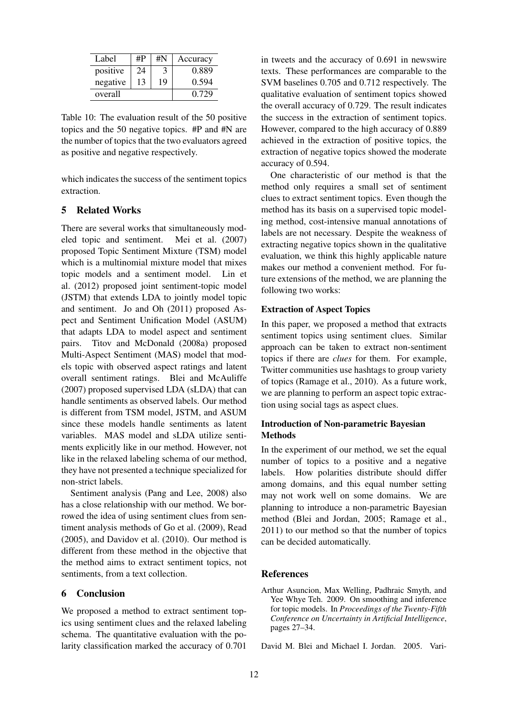| Label    | #P | #N | Accuracy |
|----------|----|----|----------|
| positive | 24 |    | 0.889    |
| negative | 13 | 19 | 0.594    |
| overall  |    |    | 0.729    |

Table 10: The evaluation result of the 50 positive topics and the 50 negative topics. #P and #N are the number of topics that the two evaluators agreed as positive and negative respectively.

which indicates the success of the sentiment topics extraction.

## 5 Related Works

There are several works that simultaneously modeled topic and sentiment. Mei et al. (2007) proposed Topic Sentiment Mixture (TSM) model which is a multinomial mixture model that mixes topic models and a sentiment model. Lin et al. (2012) proposed joint sentiment-topic model (JSTM) that extends LDA to jointly model topic and sentiment. Jo and Oh (2011) proposed Aspect and Sentiment Unification Model (ASUM) that adapts LDA to model aspect and sentiment pairs. Titov and McDonald (2008a) proposed Multi-Aspect Sentiment (MAS) model that models topic with observed aspect ratings and latent overall sentiment ratings. Blei and McAuliffe (2007) proposed supervised LDA (sLDA) that can handle sentiments as observed labels. Our method is different from TSM model, JSTM, and ASUM since these models handle sentiments as latent variables. MAS model and sLDA utilize sentiments explicitly like in our method. However, not like in the relaxed labeling schema of our method, they have not presented a technique specialized for non-strict labels.

Sentiment analysis (Pang and Lee, 2008) also has a close relationship with our method. We borrowed the idea of using sentiment clues from sentiment analysis methods of Go et al. (2009), Read (2005), and Davidov et al. (2010). Our method is different from these method in the objective that the method aims to extract sentiment topics, not sentiments, from a text collection.

## 6 Conclusion

We proposed a method to extract sentiment topics using sentiment clues and the relaxed labeling schema. The quantitative evaluation with the polarity classification marked the accuracy of 0.701

in tweets and the accuracy of 0.691 in newswire texts. These performances are comparable to the SVM baselines 0.705 and 0.712 respectively. The qualitative evaluation of sentiment topics showed the overall accuracy of 0.729. The result indicates the success in the extraction of sentiment topics. However, compared to the high accuracy of 0.889 achieved in the extraction of positive topics, the extraction of negative topics showed the moderate accuracy of 0.594.

One characteristic of our method is that the method only requires a small set of sentiment clues to extract sentiment topics. Even though the method has its basis on a supervised topic modeling method, cost-intensive manual annotations of labels are not necessary. Despite the weakness of extracting negative topics shown in the qualitative evaluation, we think this highly applicable nature makes our method a convenient method. For future extensions of the method, we are planning the following two works:

#### Extraction of Aspect Topics

In this paper, we proposed a method that extracts sentiment topics using sentiment clues. Similar approach can be taken to extract non-sentiment topics if there are *clues* for them. For example, Twitter communities use hashtags to group variety of topics (Ramage et al., 2010). As a future work, we are planning to perform an aspect topic extraction using social tags as aspect clues.

## Introduction of Non-parametric Bayesian **Methods**

In the experiment of our method, we set the equal number of topics to a positive and a negative labels. How polarities distribute should differ among domains, and this equal number setting may not work well on some domains. We are planning to introduce a non-parametric Bayesian method (Blei and Jordan, 2005; Ramage et al., 2011) to our method so that the number of topics can be decided automatically.

## References

- Arthur Asuncion, Max Welling, Padhraic Smyth, and Yee Whye Teh. 2009. On smoothing and inference for topic models. In *Proceedings of the Twenty-Fifth Conference on Uncertainty in Artificial Intelligence*, pages 27–34.
- David M. Blei and Michael I. Jordan. 2005. Vari-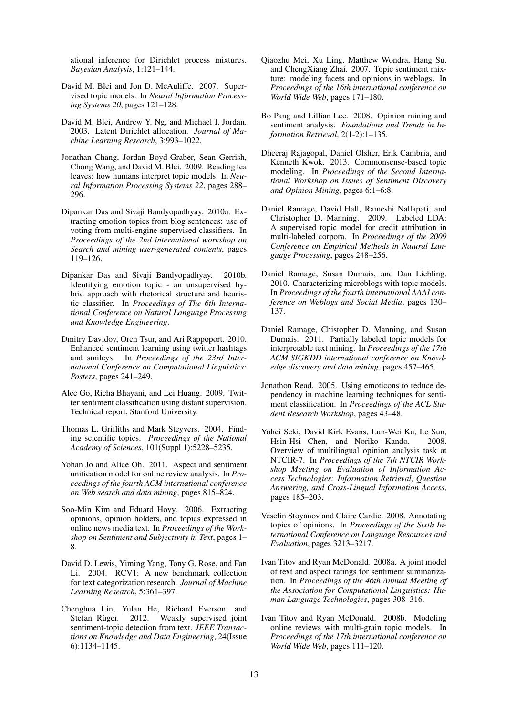ational inference for Dirichlet process mixtures. *Bayesian Analysis*, 1:121–144.

- David M. Blei and Jon D. McAuliffe. 2007. Supervised topic models. In *Neural Information Processing Systems 20*, pages 121–128.
- David M. Blei, Andrew Y. Ng, and Michael I. Jordan. 2003. Latent Dirichlet allocation. *Journal of Machine Learning Research*, 3:993–1022.
- Jonathan Chang, Jordan Boyd-Graber, Sean Gerrish, Chong Wang, and David M. Blei. 2009. Reading tea leaves: how humans interpret topic models. In *Neural Information Processing Systems 22*, pages 288– 296.
- Dipankar Das and Sivaji Bandyopadhyay. 2010a. Extracting emotion topics from blog sentences: use of voting from multi-engine supervised classifiers. In *Proceedings of the 2nd international workshop on Search and mining user-generated contents*, pages 119–126.
- Dipankar Das and Sivaji Bandyopadhyay. 2010b. Identifying emotion topic - an unsupervised hybrid approach with rhetorical structure and heuristic classifier. In *Proceedings of The 6th International Conference on Natural Language Processing and Knowledge Engineering*.
- Dmitry Davidov, Oren Tsur, and Ari Rappoport. 2010. Enhanced sentiment learning using twitter hashtags and smileys. In *Proceedings of the 23rd International Conference on Computational Linguistics: Posters*, pages 241–249.
- Alec Go, Richa Bhayani, and Lei Huang. 2009. Twitter sentiment classification using distant supervision. Technical report, Stanford University.
- Thomas L. Griffiths and Mark Steyvers. 2004. Finding scientific topics. *Proceedings of the National Academy of Sciences*, 101(Suppl 1):5228–5235.
- Yohan Jo and Alice Oh. 2011. Aspect and sentiment unification model for online review analysis. In *Proceedings of the fourth ACM international conference on Web search and data mining*, pages 815–824.
- Soo-Min Kim and Eduard Hovy. 2006. Extracting opinions, opinion holders, and topics expressed in online news media text. In *Proceedings of the Workshop on Sentiment and Subjectivity in Text*, pages 1– 8.
- David D. Lewis, Yiming Yang, Tony G. Rose, and Fan Li. 2004. RCV1: A new benchmark collection for text categorization research. *Journal of Machine Learning Research*, 5:361–397.
- Chenghua Lin, Yulan He, Richard Everson, and Stefan Rùger. 2012. Weakly supervised joint sentiment-topic detection from text. *IEEE Transactions on Knowledge and Data Engineering*, 24(Issue 6):1134–1145.
- Qiaozhu Mei, Xu Ling, Matthew Wondra, Hang Su, and ChengXiang Zhai. 2007. Topic sentiment mixture: modeling facets and opinions in weblogs. In *Proceedings of the 16th international conference on World Wide Web*, pages 171–180.
- Bo Pang and Lillian Lee. 2008. Opinion mining and sentiment analysis. *Foundations and Trends in Information Retrieval*, 2(1-2):1–135.
- Dheeraj Rajagopal, Daniel Olsher, Erik Cambria, and Kenneth Kwok. 2013. Commonsense-based topic modeling. In *Proceedings of the Second International Workshop on Issues of Sentiment Discovery and Opinion Mining*, pages 6:1–6:8.
- Daniel Ramage, David Hall, Rameshi Nallapati, and Christopher D. Manning. 2009. Labeled LDA: A supervised topic model for credit attribution in multi-labeled corpora. In *Proceedings of the 2009 Conference on Empirical Methods in Natural Language Processing*, pages 248–256.
- Daniel Ramage, Susan Dumais, and Dan Liebling. 2010. Characterizing microblogs with topic models. In *Proceedings of the fourth international AAAI conference on Weblogs and Social Media*, pages 130– 137.
- Daniel Ramage, Chistopher D. Manning, and Susan Dumais. 2011. Partially labeled topic models for interpretable text mining. In *Proceedings of the 17th ACM SIGKDD international conference on Knowledge discovery and data mining*, pages 457–465.
- Jonathon Read. 2005. Using emoticons to reduce dependency in machine learning techniques for sentiment classification. In *Proceedings of the ACL Student Research Workshop*, pages 43–48.
- Yohei Seki, David Kirk Evans, Lun-Wei Ku, Le Sun, Hsin-Hsi Chen, and Noriko Kando. 2008. Overview of multilingual opinion analysis task at NTCIR-7. In *Proceedings of the 7th NTCIR Workshop Meeting on Evaluation of Information Access Technologies: Information Retrieval, Question Answering, and Cross-Lingual Information Access*, pages 185–203.
- Veselin Stoyanov and Claire Cardie. 2008. Annotating topics of opinions. In *Proceedings of the Sixth International Conference on Language Resources and Evaluation*, pages 3213–3217.
- Ivan Titov and Ryan McDonald. 2008a. A joint model of text and aspect ratings for sentiment summarization. In *Proceedings of the 46th Annual Meeting of the Association for Computational Linguistics: Human Language Technologies*, pages 308–316.
- Ivan Titov and Ryan McDonald. 2008b. Modeling online reviews with multi-grain topic models. In *Proceedings of the 17th international conference on World Wide Web*, pages 111–120.